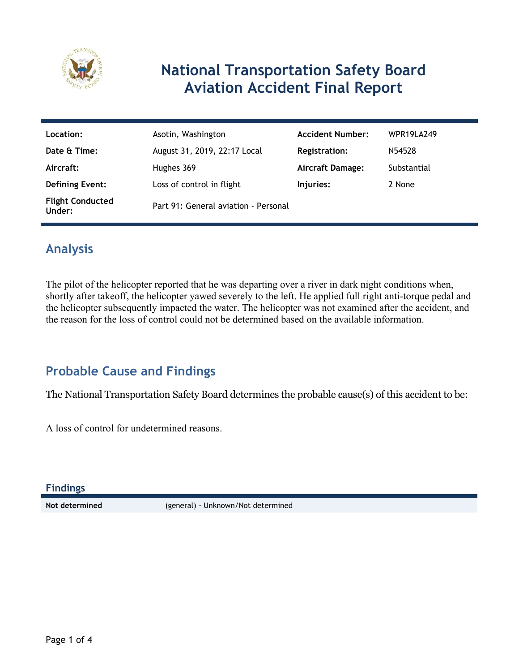

## **National Transportation Safety Board Aviation Accident Final Report**

| Location:                         | Asotin, Washington                   | <b>Accident Number:</b> | WPR19LA249  |
|-----------------------------------|--------------------------------------|-------------------------|-------------|
| Date & Time:                      | August 31, 2019, 22:17 Local         | <b>Registration:</b>    | N54528      |
| Aircraft:                         | Hughes 369                           | <b>Aircraft Damage:</b> | Substantial |
| <b>Defining Event:</b>            | Loss of control in flight            | Injuries:               | 2 None      |
| <b>Flight Conducted</b><br>Under: | Part 91: General aviation - Personal |                         |             |

## **Analysis**

The pilot of the helicopter reported that he was departing over a river in dark night conditions when, shortly after takeoff, the helicopter yawed severely to the left. He applied full right anti-torque pedal and the helicopter subsequently impacted the water. The helicopter was not examined after the accident, and the reason for the loss of control could not be determined based on the available information.

## **Probable Cause and Findings**

The National Transportation Safety Board determines the probable cause(s) of this accident to be:

A loss of control for undetermined reasons.

**Findings**

**Not determined** (general) - Unknown/Not determined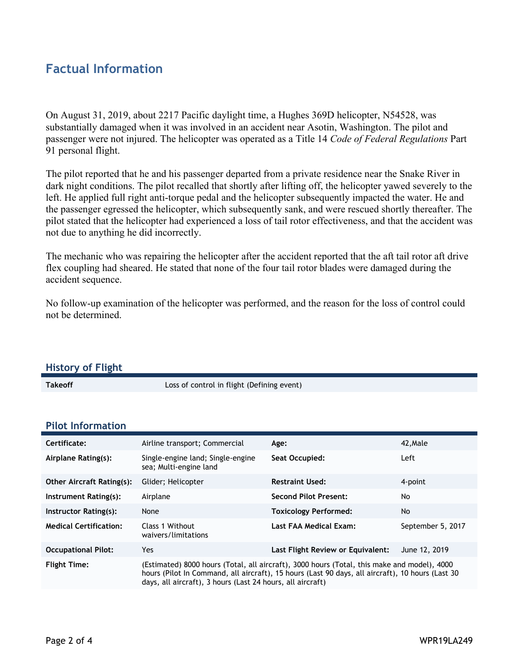### **Factual Information**

On August 31, 2019, about 2217 Pacific daylight time, a Hughes 369D helicopter, N54528, was substantially damaged when it was involved in an accident near Asotin, Washington. The pilot and passenger were not injured. The helicopter was operated as a Title 14 *Code of Federal Regulations* Part 91 personal flight.

The pilot reported that he and his passenger departed from a private residence near the Snake River in dark night conditions. The pilot recalled that shortly after lifting off, the helicopter yawed severely to the left. He applied full right anti-torque pedal and the helicopter subsequently impacted the water. He and the passenger egressed the helicopter, which subsequently sank, and were rescued shortly thereafter. The pilot stated that the helicopter had experienced a loss of tail rotor effectiveness, and that the accident was not due to anything he did incorrectly.

The mechanic who was repairing the helicopter after the accident reported that the aft tail rotor aft drive flex coupling had sheared. He stated that none of the four tail rotor blades were damaged during the accident sequence.

No follow-up examination of the helicopter was performed, and the reason for the loss of control could not be determined.

#### **History of Flight**

**Takeoff** Loss of control in flight (Defining event)

#### **Pilot Information**

| Certificate:                     | Airline transport; Commercial                                                                                                                                                                                                                                 | Age:                              | 42.Male           |
|----------------------------------|---------------------------------------------------------------------------------------------------------------------------------------------------------------------------------------------------------------------------------------------------------------|-----------------------------------|-------------------|
| Airplane Rating(s):              | Single-engine land; Single-engine<br>sea; Multi-engine land                                                                                                                                                                                                   | Seat Occupied:                    | Left              |
| <b>Other Aircraft Rating(s):</b> | Glider; Helicopter                                                                                                                                                                                                                                            | <b>Restraint Used:</b>            | 4-point           |
| Instrument Rating(s):            | Airplane                                                                                                                                                                                                                                                      | <b>Second Pilot Present:</b>      | No                |
| Instructor Rating(s):            | None                                                                                                                                                                                                                                                          | <b>Toxicology Performed:</b>      | No                |
| <b>Medical Certification:</b>    | Class 1 Without<br>waivers/limitations                                                                                                                                                                                                                        | Last FAA Medical Exam:            | September 5, 2017 |
| <b>Occupational Pilot:</b>       | Yes                                                                                                                                                                                                                                                           | Last Flight Review or Equivalent: | June 12, 2019     |
| <b>Flight Time:</b>              | (Estimated) 8000 hours (Total, all aircraft), 3000 hours (Total, this make and model), 4000<br>hours (Pilot In Command, all aircraft), 15 hours (Last 90 days, all aircraft), 10 hours (Last 30<br>days, all aircraft), 3 hours (Last 24 hours, all aircraft) |                                   |                   |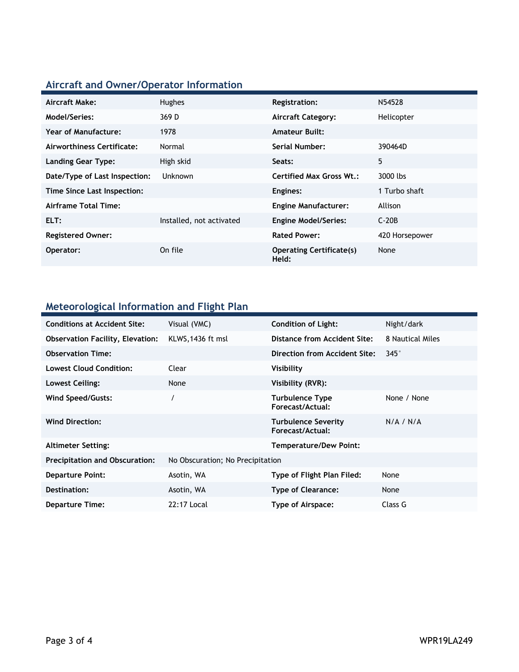# **Aircraft and Owner/Operator Information**

| Aircraft Make:                | Hughes                   | <b>Registration:</b>                     | N54528         |
|-------------------------------|--------------------------|------------------------------------------|----------------|
| Model/Series:                 | 369 D                    | <b>Aircraft Category:</b>                | Helicopter     |
| Year of Manufacture:          | 1978                     | <b>Amateur Built:</b>                    |                |
| Airworthiness Certificate:    | Normal                   | Serial Number:                           | 390464D        |
| <b>Landing Gear Type:</b>     | High skid                | Seats:                                   | 5              |
| Date/Type of Last Inspection: | <b>Unknown</b>           | Certified Max Gross Wt.:                 | 3000 lbs       |
| Time Since Last Inspection:   |                          | Engines:                                 | 1 Turbo shaft  |
| Airframe Total Time:          |                          | <b>Engine Manufacturer:</b>              | Allison        |
| ELT:                          | Installed, not activated | <b>Engine Model/Series:</b>              | $C-20B$        |
| <b>Registered Owner:</b>      |                          | <b>Rated Power:</b>                      | 420 Horsepower |
| Operator:                     | On file                  | <b>Operating Certificate(s)</b><br>Held: | None           |

## **Meteorological Information and Flight Plan**

| <b>Conditions at Accident Site:</b>     | Visual (VMC)                     | <b>Condition of Light:</b>                     | Night/dark       |
|-----------------------------------------|----------------------------------|------------------------------------------------|------------------|
| <b>Observation Facility, Elevation:</b> | KLWS, 1436 ft msl                | Distance from Accident Site:                   | 8 Nautical Miles |
| <b>Observation Time:</b>                |                                  | Direction from Accident Site:                  | $345^\circ$      |
| <b>Lowest Cloud Condition:</b>          | Clear                            | Visibility                                     |                  |
| Lowest Ceiling:                         | None                             | Visibility (RVR):                              |                  |
| Wind Speed/Gusts:                       | $\prime$                         | <b>Turbulence Type</b><br>Forecast/Actual:     | None / None      |
| <b>Wind Direction:</b>                  |                                  | <b>Turbulence Severity</b><br>Forecast/Actual: | N/A / N/A        |
| <b>Altimeter Setting:</b>               |                                  | <b>Temperature/Dew Point:</b>                  |                  |
| <b>Precipitation and Obscuration:</b>   | No Obscuration; No Precipitation |                                                |                  |
| <b>Departure Point:</b>                 | Asotin, WA                       | Type of Flight Plan Filed:                     | None             |
| Destination:                            | Asotin, WA                       | <b>Type of Clearance:</b>                      | None             |
| Departure Time:                         | 22:17 Local                      | Type of Airspace:                              | Class G          |